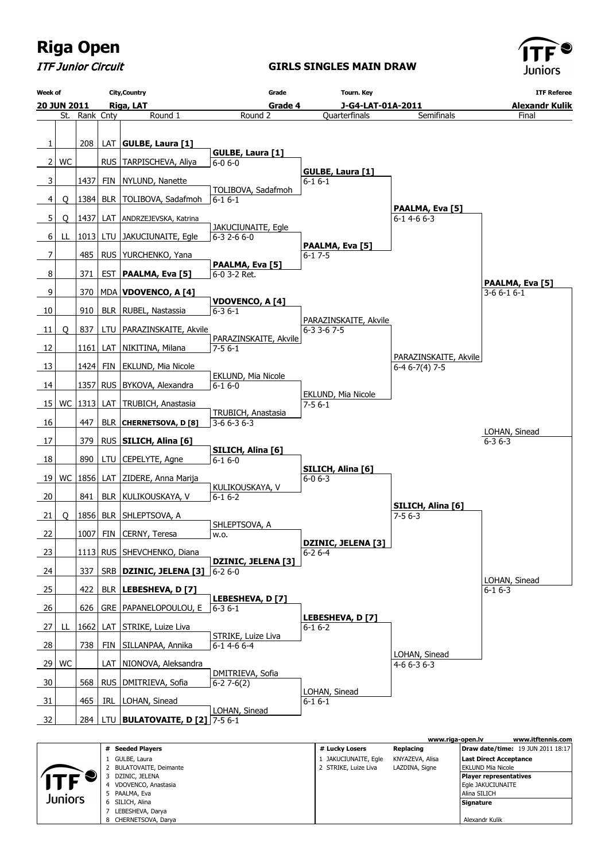

ITF Junior Circuit

#### **GIRLS SINGLES MAIN DRAW**



|         |                            |                      | www.riga-open.lv | www.itftennis.com                        |
|---------|----------------------------|----------------------|------------------|------------------------------------------|
|         | <b>Seeded Players</b><br># | # Lucky Losers       | Replacing        | <b>Draw date/time:</b> 19 JUN 2011 18:17 |
|         | GULBE, Laura               | 1 JAKUCIUNAITE, Egle | KNYAZEVA, Alisa  | Last Direct Acceptance                   |
|         | BULATOVAITE, Deimante      | 2 STRIKE, Luize Liva | LAZDINA, Signe   | EKLUND Mia Nicole                        |
|         | DZINIC, JELENA             |                      |                  | <b>Player representatives</b>            |
|         | VDOVENCO, Anastasia        |                      |                  | Eqle JAKUCIUNAITE                        |
| Juniors | PAALMA, Eva                |                      |                  | Alina SILICH                             |
|         | SILICH, Alina<br>6.        |                      |                  | Signature                                |
|         | LEBESHEVA, Darya           |                      |                  |                                          |
|         | CHERNETSOVA, Darya         |                      |                  | Alexandr Kulik                           |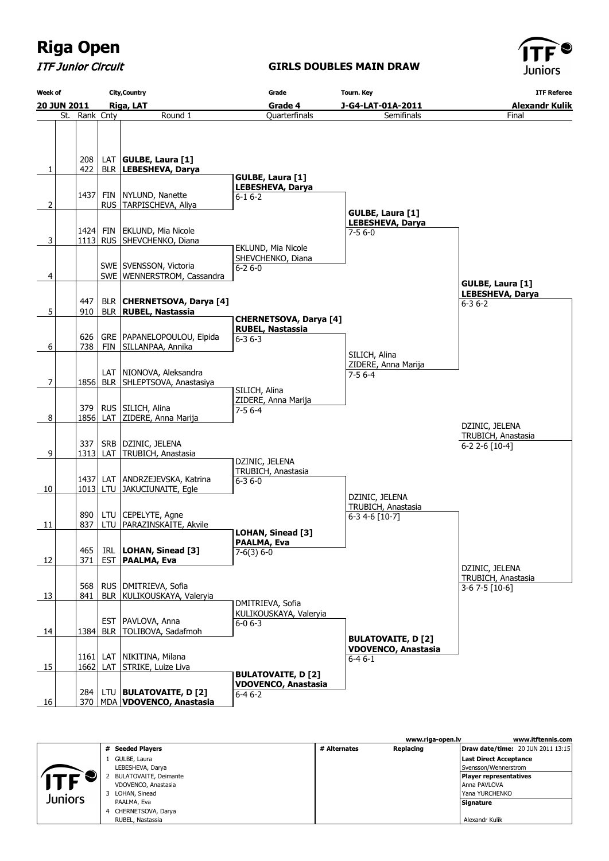ITF Junior Circuit

### **GIRLS DOUBLES MAIN DRAW**



| <b>Week of</b>             |                                          |                                 | <b>City, Country</b>                                                                                                                                                                                                              | Grade                                                  | <b>Tourn. Key</b>          | <b>ITF Referee</b>      |  |
|----------------------------|------------------------------------------|---------------------------------|-----------------------------------------------------------------------------------------------------------------------------------------------------------------------------------------------------------------------------------|--------------------------------------------------------|----------------------------|-------------------------|--|
|                            | 20 JUN 2011<br>Riga, LAT                 |                                 |                                                                                                                                                                                                                                   | Grade 4                                                | J-G4-LAT-01A-2011          | <b>Alexandr Kulik</b>   |  |
| St. Rank Cnty              |                                          |                                 | Round 1                                                                                                                                                                                                                           | Quarterfinals                                          | Semifinals                 | Final                   |  |
|                            |                                          |                                 |                                                                                                                                                                                                                                   |                                                        |                            |                         |  |
|                            |                                          |                                 |                                                                                                                                                                                                                                   |                                                        |                            |                         |  |
|                            | 208                                      |                                 | LAT $ GULEE, Laura [1]$                                                                                                                                                                                                           |                                                        |                            |                         |  |
| 1                          | 422                                      |                                 | BLR LEBESHEVA, Darya                                                                                                                                                                                                              | <b>GULBE, Laura [1]</b>                                |                            |                         |  |
|                            |                                          |                                 |                                                                                                                                                                                                                                   | LEBESHEVA, Darya                                       |                            |                         |  |
|                            | 1437                                     | <b>FIN</b>                      | NYLUND, Nanette                                                                                                                                                                                                                   | $6 - 16 - 2$                                           |                            |                         |  |
| 2                          |                                          |                                 | RUS   TARPISCHEVA, Aliya                                                                                                                                                                                                          |                                                        | GULBE, Laura [1]           |                         |  |
|                            |                                          |                                 |                                                                                                                                                                                                                                   |                                                        | <b>LEBESHEVA, Darya</b>    |                         |  |
|                            | 1424 FIN                                 |                                 | EKLUND, Mia Nicole                                                                                                                                                                                                                |                                                        | 7-5 6-0                    |                         |  |
| 3                          |                                          |                                 | 1113 RUS SHEVCHENKO, Diana                                                                                                                                                                                                        | EKLUND, Mia Nicole                                     |                            |                         |  |
|                            |                                          |                                 |                                                                                                                                                                                                                                   | SHEVCHENKO, Diana                                      |                            |                         |  |
|                            |                                          |                                 | SWE SVENSSON, Victoria                                                                                                                                                                                                            | $6 - 26 - 0$                                           |                            |                         |  |
| 4                          |                                          |                                 | SWE   WENNERSTROM, Cassandra                                                                                                                                                                                                      |                                                        |                            | <b>GULBE, Laura [1]</b> |  |
|                            |                                          |                                 |                                                                                                                                                                                                                                   |                                                        |                            | <b>LEBESHEVA, Darya</b> |  |
|                            | 447                                      |                                 | BLR   CHERNETSOVA, Darya [4]                                                                                                                                                                                                      |                                                        |                            | $6 - 36 - 2$            |  |
| 5                          | 910                                      |                                 | BLR   RUBEL, Nastassia                                                                                                                                                                                                            | <b>CHERNETSOVA, Darya [4]</b>                          |                            |                         |  |
|                            |                                          |                                 |                                                                                                                                                                                                                                   | <b>RUBEL, Nastassia</b>                                |                            |                         |  |
|                            | 626                                      |                                 | GRE   PAPANELOPOULOU, Elpida                                                                                                                                                                                                      | $6 - 36 - 3$                                           |                            |                         |  |
| 6                          | 738                                      | <b>FIN</b>                      | SILLANPAA, Annika                                                                                                                                                                                                                 |                                                        | SILICH, Alina              |                         |  |
|                            |                                          |                                 |                                                                                                                                                                                                                                   |                                                        | ZIDERE, Anna Marija        |                         |  |
|                            |                                          |                                 | LAT   NIONOVA, Aleksandra                                                                                                                                                                                                         |                                                        | $7-56-4$                   |                         |  |
| $\overline{7}$             | 1856                                     |                                 | BLR   SHLEPTSOVA, Anastasiya                                                                                                                                                                                                      | SILICH, Alina                                          |                            |                         |  |
|                            |                                          |                                 |                                                                                                                                                                                                                                   | ZIDERE, Anna Marija                                    |                            |                         |  |
|                            |                                          |                                 | 379   RUS   SILICH, Alina                                                                                                                                                                                                         | $7-56-4$                                               |                            |                         |  |
| 8                          |                                          |                                 | 1856 LAT ZIDERE, Anna Marija                                                                                                                                                                                                      |                                                        |                            | DZINIC, JELENA          |  |
|                            |                                          |                                 |                                                                                                                                                                                                                                   |                                                        |                            | TRUBICH, Anastasia      |  |
|                            | 337                                      | <b>SRB</b>                      | DZINIC, JELENA                                                                                                                                                                                                                    |                                                        |                            | 6-2 2-6 [10-4]          |  |
| 9                          |                                          | $1313$ LAT                      | TRUBICH, Anastasia                                                                                                                                                                                                                | DZINIC, JELENA                                         |                            |                         |  |
|                            |                                          |                                 |                                                                                                                                                                                                                                   | TRUBICH, Anastasia                                     |                            |                         |  |
|                            |                                          |                                 | 1437 LAT ANDRZEJEVSKA, Katrina<br>1013 LTU JAKUCIUNAITE, Egle                                                                                                                                                                     | $6 - 36 - 0$                                           |                            |                         |  |
| 10                         |                                          |                                 |                                                                                                                                                                                                                                   |                                                        | DZINIC, JELENA             |                         |  |
|                            |                                          |                                 |                                                                                                                                                                                                                                   |                                                        | TRUBICH, Anastasia         |                         |  |
| 11                         | 890<br>837                               |                                 | LTU   CEPELYTE, Agne<br>LTU   PARAZINSKAITE, Akvile                                                                                                                                                                               |                                                        | 6-3 4-6 [10-7]             |                         |  |
|                            |                                          |                                 |                                                                                                                                                                                                                                   | <b>LOHAN, Sinead [3]</b>                               |                            |                         |  |
|                            | 465                                      |                                 | IRL LOHAN, Sinead [3]                                                                                                                                                                                                             | PAALMA, Eva                                            |                            |                         |  |
|                            |                                          |                                 |                                                                                                                                                                                                                                   | $7-6(3) 6-0$                                           |                            |                         |  |
|                            |                                          |                                 |                                                                                                                                                                                                                                   |                                                        |                            | DZINIC, JELENA          |  |
|                            |                                          |                                 |                                                                                                                                                                                                                                   |                                                        |                            | TRUBICH, Anastasia      |  |
|                            |                                          |                                 |                                                                                                                                                                                                                                   |                                                        |                            |                         |  |
|                            |                                          |                                 |                                                                                                                                                                                                                                   | DMITRIEVA, Sofia                                       |                            |                         |  |
|                            |                                          |                                 |                                                                                                                                                                                                                                   |                                                        |                            |                         |  |
|                            |                                          |                                 |                                                                                                                                                                                                                                   |                                                        |                            |                         |  |
|                            |                                          |                                 |                                                                                                                                                                                                                                   |                                                        | <b>BULATOVAITE, D [2]</b>  |                         |  |
|                            |                                          |                                 |                                                                                                                                                                                                                                   |                                                        | <b>VDOVENCO, Anastasia</b> |                         |  |
|                            |                                          |                                 |                                                                                                                                                                                                                                   |                                                        |                            |                         |  |
|                            |                                          |                                 |                                                                                                                                                                                                                                   | <b>BULATOVAITE, D [2]</b>                              |                            |                         |  |
|                            |                                          |                                 |                                                                                                                                                                                                                                   | <b>VDOVENCO, Anastasia</b>                             |                            |                         |  |
|                            |                                          |                                 |                                                                                                                                                                                                                                   |                                                        |                            |                         |  |
| 12<br>13<br>14<br>15<br>16 | 371<br>568<br>841<br>1384<br>1662<br>284 | <b>EST</b><br>$1161$ LAT<br>LAT | EST   PAALMA, Eva<br>RUS   DMITRIEVA, Sofia<br>BLR   KULIKOUSKAYA, Valeryia<br>PAVLOVA, Anna<br>BLR   TOLIBOVA, Sadafmoh<br>NIKITINA, Milana<br>STRIKE, Luize Liva<br>LTU   BULATOVAITE, D [2]<br>370   MDA   VDOVENCO, Anastasia | KULIKOUSKAYA, Valeryia<br>$6 - 06 - 3$<br>$6 - 46 - 2$ | 6-4 6-1                    | 3-6 7-5 [10-6]          |  |

|            |   |                              |              | www.riga-open.ly | www.itftennis.com                        |
|------------|---|------------------------------|--------------|------------------|------------------------------------------|
|            | # | <b>Seeded Players</b>        | # Alternates | Replacing        | <b>Draw date/time: 20 JUN 2011 13:15</b> |
|            |   | GULBE, Laura                 |              |                  | Last Direct Acceptance                   |
|            |   | LEBESHEVA, Darya             |              |                  | Svensson/Wennerstrom                     |
| <b>ITF</b> |   | <b>BULATOVAITE, Deimante</b> |              |                  | Player representatives                   |
|            |   | VDOVENCO, Anastasia          |              |                  | Anna PAVLOVA                             |
| Juniors    |   | LOHAN, Sinead                |              |                  | Yana YURCHENKO                           |
|            |   | PAALMA, Eva                  |              |                  | Signature                                |
|            | 4 | CHERNETSOVA, Darya           |              |                  |                                          |
|            |   | RUBEL, Nastassia             |              |                  | Alexandr Kulik                           |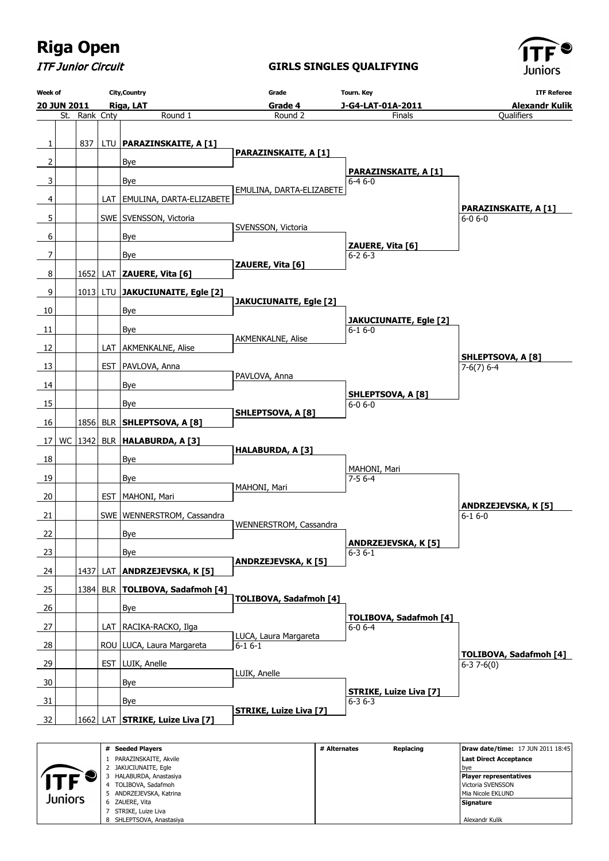ITF Junior Circuit

### **GIRLS SINGLES QUALIFYING**



 Mia Nicole EKLUND  **Signature** Alexandr Kulik

| <b>Week of</b> |             |               |            | <b>City, Country</b>                                                                                                   | Grade                         | Tourn. Key                                    | <b>ITF Referee</b>                                                                                                              |
|----------------|-------------|---------------|------------|------------------------------------------------------------------------------------------------------------------------|-------------------------------|-----------------------------------------------|---------------------------------------------------------------------------------------------------------------------------------|
|                | 20 JUN 2011 |               |            | Riga, LAT                                                                                                              | Grade 4                       | J-G4-LAT-01A-2011                             | <b>Alexandr Kulik</b>                                                                                                           |
|                |             | St. Rank Cnty |            | Round 1                                                                                                                | Round <sub>2</sub>            | Finals                                        | Qualifiers                                                                                                                      |
|                |             |               |            |                                                                                                                        |                               |                                               |                                                                                                                                 |
| 1              |             | 837           |            | LTU   PARAZINSKAITE, A [1]                                                                                             | <b>PARAZINSKAITE, A [1]</b>   |                                               |                                                                                                                                 |
| $\overline{2}$ |             |               |            | Bye                                                                                                                    |                               | <b>PARAZINSKAITE, A [1]</b>                   |                                                                                                                                 |
| 3              |             |               |            | Bye                                                                                                                    |                               | $6 - 46 - 0$                                  |                                                                                                                                 |
| 4              |             |               |            | LAT   EMULINA, DARTA-ELIZABETE                                                                                         | EMULINA, DARTA-ELIZABETE      |                                               |                                                                                                                                 |
| 5              |             |               |            | SWE SVENSSON, Victoria                                                                                                 |                               |                                               | <b>PARAZINSKAITE, A [1]</b><br>$6 - 06 - 0$                                                                                     |
|                |             |               |            |                                                                                                                        | SVENSSON, Victoria            |                                               |                                                                                                                                 |
| 6              |             |               |            | <b>Bye</b>                                                                                                             |                               | ZAUERE, Vita [6]                              |                                                                                                                                 |
| 7              |             |               |            | <b>Bye</b>                                                                                                             | ZAUERE, Vita [6]              | $6 - 26 - 3$                                  |                                                                                                                                 |
| 8              |             | 1652          |            | LAT ZAUERE, Vita [6]                                                                                                   |                               |                                               |                                                                                                                                 |
| 9              |             |               |            | 1013 LTU JAKUCIUNAITE, Egle [2]                                                                                        |                               |                                               |                                                                                                                                 |
| 10             |             |               |            | Bye                                                                                                                    | <b>JAKUCIUNAITE, Egle [2]</b> |                                               |                                                                                                                                 |
|                |             |               |            |                                                                                                                        |                               | JAKUCIUNAITE, Egle [2]                        |                                                                                                                                 |
| 11             |             |               |            | Bye                                                                                                                    | AKMENKALNE, Alise             | $6 - 16 - 0$                                  |                                                                                                                                 |
| 12             |             |               |            | LAT AKMENKALNE, Alise                                                                                                  |                               |                                               | <b>SHLEPTSOVA, A [8]</b>                                                                                                        |
| 13             |             |               |            | EST   PAVLOVA, Anna                                                                                                    |                               |                                               | $7-6(7)$ 6-4                                                                                                                    |
| 14             |             |               |            | <b>Bye</b>                                                                                                             | PAVLOVA, Anna                 |                                               |                                                                                                                                 |
| 15             |             |               |            | Bye                                                                                                                    |                               | <b>SHLEPTSOVA, A [8]</b><br>$6 - 0 6 - 0$     |                                                                                                                                 |
| 16             |             |               |            | 1856 BLR SHLEPTSOVA, A [8]                                                                                             | <b>SHLEPTSOVA, A [8]</b>      |                                               |                                                                                                                                 |
|                |             |               |            |                                                                                                                        |                               |                                               |                                                                                                                                 |
| 17             |             |               |            | WC $ 1342 $ BLR   HALABURDA, A [3]                                                                                     | HALABURDA, A [3]              |                                               |                                                                                                                                 |
| 18             |             |               |            | Bye                                                                                                                    |                               | MAHONI, Mari                                  |                                                                                                                                 |
| 19             |             |               |            | Bye                                                                                                                    |                               | $7 - 56 - 4$                                  |                                                                                                                                 |
| 20             |             |               | EST.       | MAHONI, Mari                                                                                                           | MAHONI, Mari                  |                                               |                                                                                                                                 |
| 21             |             |               |            | SWE   WENNERSTROM, Cassandra                                                                                           |                               |                                               | <b>ANDRZEJEVSKA, K [5]</b><br>$6 - 16 - 0$                                                                                      |
|                |             |               |            |                                                                                                                        | WENNERSTROM, Cassandra        |                                               |                                                                                                                                 |
| 22             |             |               |            | <b>Bye</b>                                                                                                             |                               | <b>ANDRZEJEVSKA, K [5]</b>                    |                                                                                                                                 |
| 23             |             |               |            | <b>Bye</b>                                                                                                             | ANDRZEJEVSKA, K [5]           | $6 - 36 - 1$                                  |                                                                                                                                 |
| 24             |             | 1437          | LAT        | <b>ANDRZEJEVSKA, K [5]</b>                                                                                             |                               |                                               |                                                                                                                                 |
| 25             |             | 1384          | <b>BLR</b> | <b>TOLIBOVA, Sadafmoh [4]</b>                                                                                          |                               |                                               |                                                                                                                                 |
| 26             |             |               |            | Bye                                                                                                                    | <b>TOLIBOVA, Sadafmoh [4]</b> |                                               |                                                                                                                                 |
| 27             |             |               |            | LAT   RACIKA-RACKO, Ilga                                                                                               |                               | <b>TOLIBOVA, Sadafmoh [4]</b><br>$6 - 06 - 4$ |                                                                                                                                 |
|                |             |               |            |                                                                                                                        | LUCA, Laura Margareta         |                                               |                                                                                                                                 |
| 28             |             |               |            | ROU   LUCA, Laura Margareta                                                                                            | $6-16-1$                      |                                               | <b>TOLIBOVA, Sadafmoh [4]</b>                                                                                                   |
| 29             |             |               |            | EST   LUIK, Anelle                                                                                                     | LUIK, Anelle                  |                                               | $6-37-6(0)$                                                                                                                     |
| 30             |             |               |            | Bye                                                                                                                    |                               |                                               |                                                                                                                                 |
| 31             |             |               |            | Bye                                                                                                                    |                               | <b>STRIKE, Luize Liva [7]</b><br>$6 - 36 - 3$ |                                                                                                                                 |
| 32             |             | 1662          |            | LAT STRIKE, Luize Liva [7]                                                                                             | <b>STRIKE, Luize Liva [7]</b> |                                               |                                                                                                                                 |
|                |             |               |            |                                                                                                                        |                               |                                               |                                                                                                                                 |
|                |             |               |            | # Seeded Players<br>1 PARAZINSKAITE, Akvile<br>2 JAKUCIUNAITE, Egle<br>3 HALABURDA, Anastasiya<br>4 TOLIBOVA, Sadafmoh |                               | # Alternates<br>Replacing                     | Draw date/time: 17 JUN 2011 18:45<br><b>Last Direct Acceptance</b><br>bye<br><b>Player representatives</b><br>Victoria SVENSSON |
|                | Juniors     |               |            | 5 ANDRZEJEVSKA, Katrina<br>6 ZAUERE, Vita                                                                              |                               |                                               | Mia Nicole EKLUND<br>Signature                                                                                                  |
|                |             |               |            |                                                                                                                        |                               |                                               |                                                                                                                                 |

 ANDRZEJEVSKA, Katrina ZAUERE, Vita STRIKE, Luize Liva SHLEPTSOVA, Anastasiya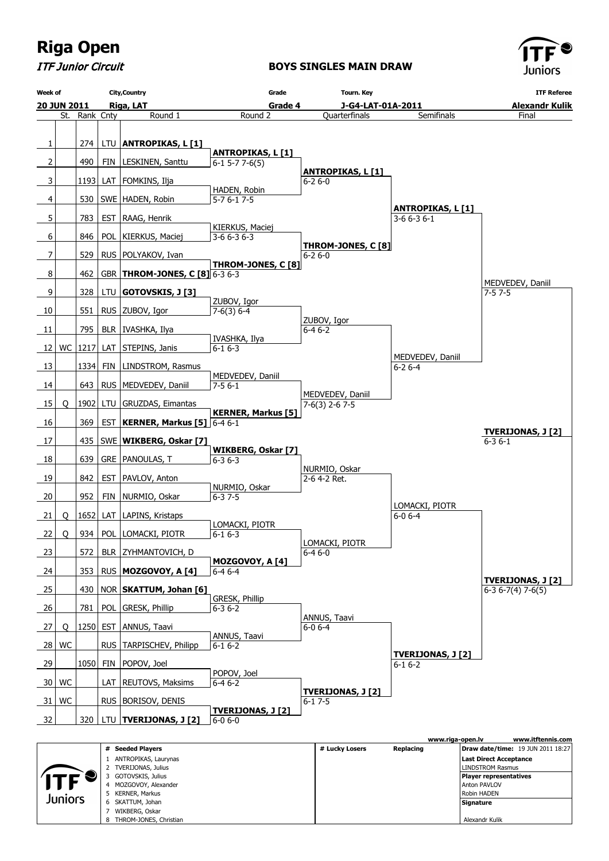

ITF Junior Circuit

#### **BOYS SINGLES MAIN DRAW**



|            |                            |                | www.riga-open.lv | www.itftennis.com                        |
|------------|----------------------------|----------------|------------------|------------------------------------------|
|            | <b>Seeded Players</b><br># | # Lucky Losers | Replacing        | <b>Draw date/time:</b> 19 JUN 2011 18:27 |
|            | ANTROPIKAS, Laurynas       |                |                  | Last Direct Acceptance                   |
|            | TVERIJONAS, Julius         |                |                  | <b>LINDSTROM Rasmus</b>                  |
|            | GOTOVSKIS, Julius          |                |                  | <b>Player representatives</b>            |
| <b>ITF</b> | MOZGOVOY, Alexander        |                |                  | <b>Anton PAVLOV</b>                      |
| Juniors    | KERNER, Markus             |                |                  | <b>Robin HADEN</b>                       |
|            | SKATTUM, Johan<br>6        |                |                  | Signature                                |
|            | WIKBERG, Oskar             |                |                  |                                          |
|            | THROM-JONES, Christian     |                |                  | Alexandr Kulik                           |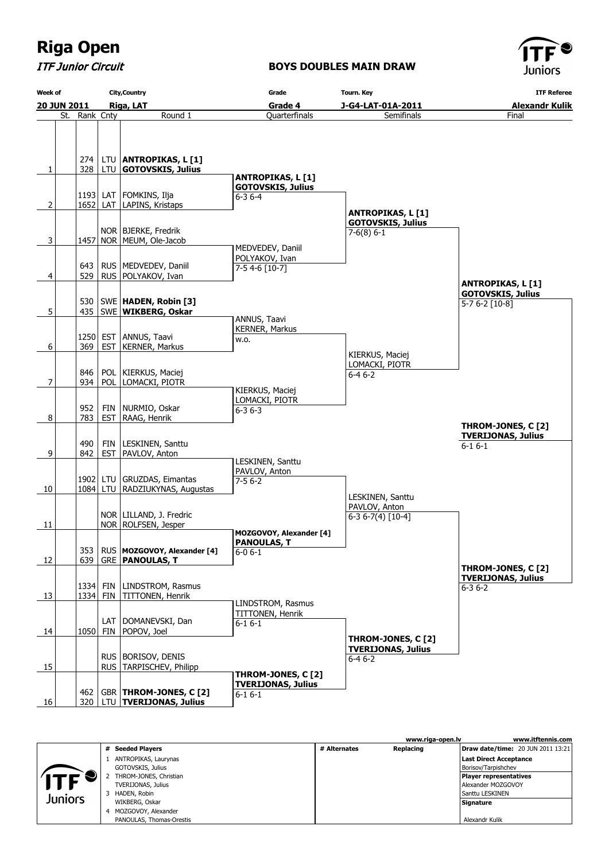ITF Junior Circuit

### **BOYS DOUBLES MAIN DRAW**



| <b>Week of</b> | <b>City, Country</b> |            |                                                     | Grade                              |                                            | <b>ITF Referee</b>                              |  |
|----------------|----------------------|------------|-----------------------------------------------------|------------------------------------|--------------------------------------------|-------------------------------------------------|--|
|                | 20 JUN 2011          |            | Riga, LAT                                           | Grade 4                            | J-G4-LAT-01A-2011<br><b>Alexandr Kulik</b> |                                                 |  |
|                | St. Rank Cnty        |            | Round 1                                             | Quarterfinals                      | Semifinals                                 | Final                                           |  |
|                |                      |            |                                                     |                                    |                                            |                                                 |  |
|                |                      |            |                                                     |                                    |                                            |                                                 |  |
|                |                      |            |                                                     |                                    |                                            |                                                 |  |
| 1              | 274 l<br>328         |            | LTU ANTROPIKAS, L [1]<br>LTU GOTOVSKIS, Julius      |                                    |                                            |                                                 |  |
|                |                      |            |                                                     | <b>ANTROPIKAS, L[1]</b>            |                                            |                                                 |  |
|                |                      |            |                                                     | <b>GOTOVSKIS, Julius</b>           |                                            |                                                 |  |
|                |                      |            | 1193 LAT   FOMKINS, Ilja                            | $6 - 36 - 4$                       |                                            |                                                 |  |
| 2              |                      |            | 1652 LAT LAPINS, Kristaps                           |                                    | <b>ANTROPIKAS, L [1]</b>                   |                                                 |  |
|                |                      |            |                                                     |                                    | <b>GOTOVSKIS, Julius</b>                   |                                                 |  |
|                |                      |            | NOR   BJERKE, Fredrik<br>1457 NOR   MEUM, Ole-Jacob |                                    | $7-6(8)$ 6-1                               |                                                 |  |
| 3              |                      |            |                                                     | MEDVEDEV, Daniil                   |                                            |                                                 |  |
|                |                      |            |                                                     | POLYAKOV, Ivan                     |                                            |                                                 |  |
|                | 643                  |            | RUS   MEDVEDEV, Daniil                              | $7-54-6$ [10-7]                    |                                            |                                                 |  |
| 4              | 529                  |            | RUS   POLYAKOV, Ivan                                |                                    |                                            | <b>ANTROPIKAS, L[1]</b>                         |  |
|                |                      |            |                                                     |                                    |                                            | <b>GOTOVSKIS, Julius</b>                        |  |
|                |                      |            | 530   SWE   HADEN, Robin [3]                        |                                    |                                            | 5-7 6-2 [10-8]                                  |  |
| 5              |                      |            | 435   SWE   WIKBERG, Oskar                          | ANNUS, Taavi                       |                                            |                                                 |  |
|                |                      |            |                                                     | KERNER, Markus                     |                                            |                                                 |  |
|                | 1250                 |            | EST ANNUS, Taavi                                    | w.o.                               |                                            |                                                 |  |
| 6              | 369                  |            | EST   KERNER, Markus                                |                                    | KIERKUS, Maciej                            |                                                 |  |
|                |                      |            |                                                     |                                    | LOMACKI, PIOTR                             |                                                 |  |
|                | 846                  |            | POL   KIERKUS, Maciej                               |                                    | $6 - 46 - 2$                               |                                                 |  |
| 7              | 934                  |            | POL LOMACKI, PIOTR                                  |                                    |                                            |                                                 |  |
|                |                      |            |                                                     | KIERKUS, Maciej<br>LOMACKI, PIOTR  |                                            |                                                 |  |
|                | 952                  |            | FIN   NURMIO, Oskar                                 | $6 - 36 - 3$                       |                                            |                                                 |  |
| 8              | 783                  |            | EST   RAAG, Henrik                                  |                                    |                                            |                                                 |  |
|                |                      |            |                                                     |                                    |                                            | THROM-JONES, C [2]<br><b>TVERIJONAS, Julius</b> |  |
|                | 490                  |            | FIN   LESKINEN, Santtu                              |                                    |                                            | $6 - 16 - 1$                                    |  |
| $\overline{9}$ | 842                  |            | EST   PAVLOV, Anton                                 |                                    |                                            |                                                 |  |
|                |                      |            |                                                     | LESKINEN, Santtu<br>PAVLOV, Anton  |                                            |                                                 |  |
|                |                      |            | 1902   LTU   GRUZDAS, Eimantas                      | $7 - 56 - 2$                       |                                            |                                                 |  |
| 10             |                      |            | 1084   LTU   RADZIUKYNAS, Augustas                  |                                    |                                            |                                                 |  |
|                |                      |            |                                                     |                                    | LESKINEN, Santtu                           |                                                 |  |
|                |                      |            | NOR   LILLAND, J. Fredric                           |                                    | PAVLOV, Anton<br>$6-36-7(4)$ [10-4]        |                                                 |  |
| 11             |                      |            | NOR   ROLFSEN, Jesper                               |                                    |                                            |                                                 |  |
|                |                      |            |                                                     | MOZGOVOY, Alexander [4]            |                                            |                                                 |  |
|                | 353                  |            | RUS MOZGOVOY, Alexander [4]                         | <b>PANOULAS, T</b><br>$6 - 06 - 1$ |                                            |                                                 |  |
| 12             | 639                  |            | <b>GRE   PANOULAS, T</b>                            |                                    |                                            |                                                 |  |
|                |                      |            |                                                     |                                    |                                            | THROM-JONES, C [2]                              |  |
|                |                      | 1334 FIN   | LINDSTROM, Rasmus                                   |                                    |                                            | <b>TVERIJONAS, Julius</b>                       |  |
| 13             |                      | $1334$ FIN | TITTONEN, Henrik                                    |                                    |                                            | $6 - 36 - 2$                                    |  |
|                |                      |            |                                                     | LINDSTROM, Rasmus                  |                                            |                                                 |  |
|                |                      |            | LAT   DOMANEVSKI, Dan                               | TITTONEN, Henrik                   |                                            |                                                 |  |
| 14             | 1050                 |            | FIN   POPOV, Joel                                   | $6 - 16 - 1$                       |                                            |                                                 |  |
|                |                      |            |                                                     |                                    | THROM-JONES, C [2]                         |                                                 |  |
|                |                      |            |                                                     |                                    | <b>TVERIJONAS, Julius</b>                  |                                                 |  |
|                |                      |            | RUS   BORISOV, DENIS<br>RUS TARPISCHEV, Philipp     |                                    | $6-46-2$                                   |                                                 |  |
| 15             |                      |            |                                                     | THROM-JONES, C [2]                 |                                            |                                                 |  |
|                |                      |            |                                                     | <b>TVERIJONAS, Julius</b>          |                                            |                                                 |  |
|                | 462                  |            | GBR   THROM-JONES, C [2]                            | $6 - 16 - 1$                       |                                            |                                                 |  |
| 16             | 320                  |            | LTU   TVERIJONAS, Julius                            |                                    |                                            |                                                 |  |

|         |   |                          |              | www.riga-open.ly | www.itftennis.com                        |
|---------|---|--------------------------|--------------|------------------|------------------------------------------|
|         | # | <b>Seeded Players</b>    | # Alternates | Replacing        | <b>Draw date/time: 20 JUN 2011 13:21</b> |
|         |   | ANTROPIKAS, Laurynas     |              |                  | Last Direct Acceptance                   |
|         |   | GOTOVSKIS, Julius        |              |                  | Borisov/Tarpishchev                      |
|         |   | THROM-JONES, Christian   |              |                  | <b>Player representatives</b>            |
| ITF     |   | TVERIJONAS, Julius       |              |                  | Alexander MOZGOVOY                       |
| Juniors |   | HADEN, Robin             |              |                  | Santtu LESKINEN                          |
|         |   | WIKBERG, Oskar           |              |                  | Signature                                |
|         | 4 | MOZGOVOY, Alexander      |              |                  |                                          |
|         |   | PANOULAS, Thomas-Orestis |              |                  | Alexandr Kulik                           |